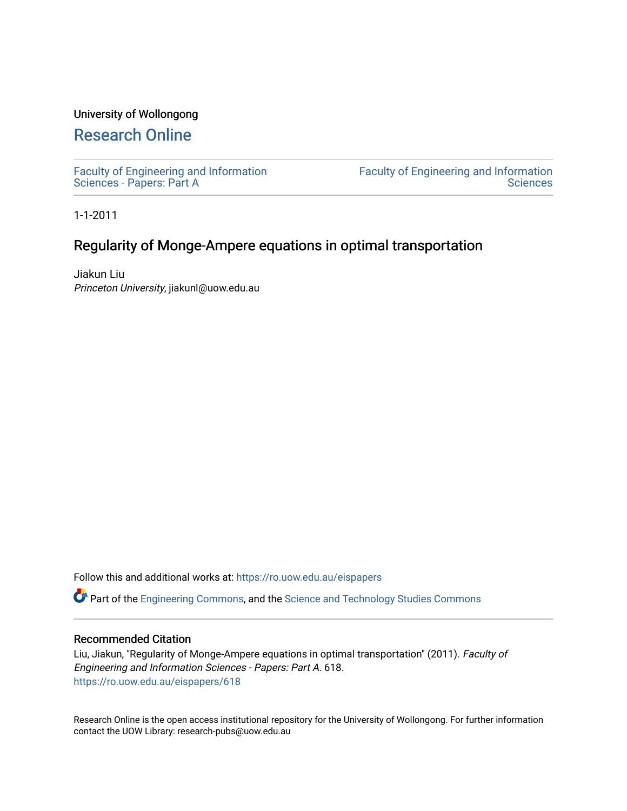### University of Wollongong

# [Research Online](https://ro.uow.edu.au/)

[Faculty of Engineering and Information](https://ro.uow.edu.au/eispapers)  [Sciences - Papers: Part A](https://ro.uow.edu.au/eispapers) 

[Faculty of Engineering and Information](https://ro.uow.edu.au/eis)  **Sciences** 

1-1-2011

## Regularity of Monge-Ampere equations in optimal transportation

Jiakun Liu Princeton University, jiakunl@uow.edu.au

Follow this and additional works at: [https://ro.uow.edu.au/eispapers](https://ro.uow.edu.au/eispapers?utm_source=ro.uow.edu.au%2Feispapers%2F618&utm_medium=PDF&utm_campaign=PDFCoverPages)

Part of the [Engineering Commons](http://network.bepress.com/hgg/discipline/217?utm_source=ro.uow.edu.au%2Feispapers%2F618&utm_medium=PDF&utm_campaign=PDFCoverPages), and the [Science and Technology Studies Commons](http://network.bepress.com/hgg/discipline/435?utm_source=ro.uow.edu.au%2Feispapers%2F618&utm_medium=PDF&utm_campaign=PDFCoverPages)

#### Recommended Citation

Liu, Jiakun, "Regularity of Monge-Ampere equations in optimal transportation" (2011). Faculty of Engineering and Information Sciences - Papers: Part A. 618. [https://ro.uow.edu.au/eispapers/618](https://ro.uow.edu.au/eispapers/618?utm_source=ro.uow.edu.au%2Feispapers%2F618&utm_medium=PDF&utm_campaign=PDFCoverPages)

Research Online is the open access institutional repository for the University of Wollongong. For further information contact the UOW Library: research-pubs@uow.edu.au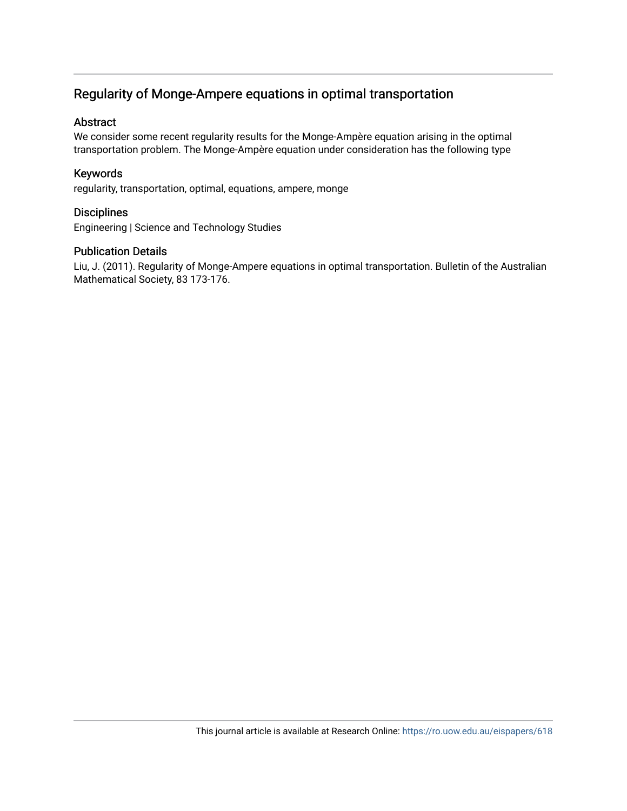# Regularity of Monge-Ampere equations in optimal transportation

### Abstract

We consider some recent regularity results for the Monge-Ampère equation arising in the optimal transportation problem. The Monge-Ampère equation under consideration has the following type

## Keywords

regularity, transportation, optimal, equations, ampere, monge

### **Disciplines**

Engineering | Science and Technology Studies

### Publication Details

Liu, J. (2011). Regularity of Monge-Ampere equations in optimal transportation. Bulletin of the Australian Mathematical Society, 83 173-176.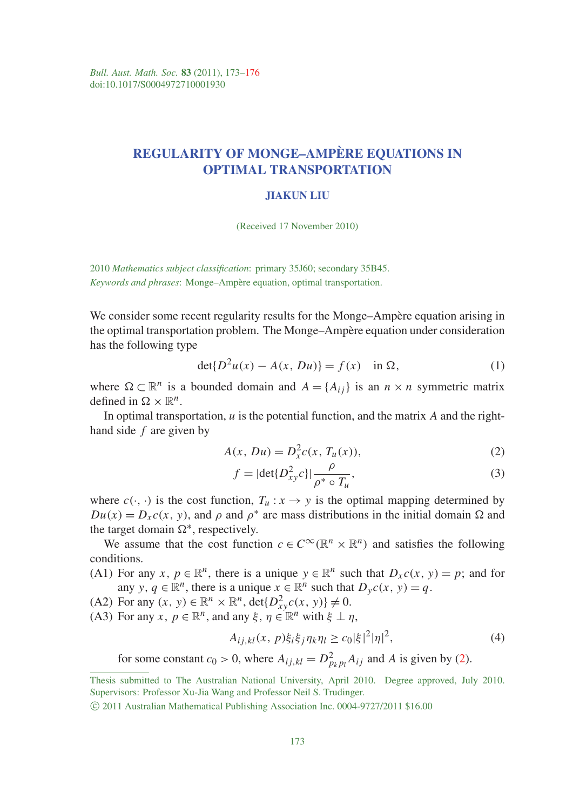# REGULARITY OF MONGE–AMPÈRE EQUATIONS IN OPTIMAL TRANSPORTATION

#### JIAKUN LIU

(Received 17 November 2010)

2010 *Mathematics subject classification*: primary 35J60; secondary 35B45. *Keywords and phrases*: Monge–Ampère equation, optimal transportation.

We consider some recent regularity results for the Monge–Ampère equation arising in the optimal transportation problem. The Monge–Ampère equation under consideration has the following type

$$
\det\{D^2u(x) - A(x, Du)\} = f(x) \quad \text{in } \Omega,
$$
\n(1)

where  $\Omega \subset \mathbb{R}^n$  is a bounded domain and  $A = \{A_{ij}\}\$ is an  $n \times n$  symmetric matrix defined in  $\Omega \times \mathbb{R}^n$ .

In optimal transportation, *u* is the potential function, and the matrix *A* and the righthand side *f* are given by

$$
A(x, Du) = D_x^2 c(x, T_u(x)),
$$
\n(2)

$$
f = |\det\{D_{xy}^2 c\}| \frac{\rho}{\rho^* \circ T_u},\tag{3}
$$

where  $c(\cdot, \cdot)$  is the cost function,  $T_u : x \to y$  is the optimal mapping determined by  $Du(x) = D_x c(x, y)$ , and  $\rho$  and  $\rho^*$  are mass distributions in the initial domain  $\Omega$  and the target domain  $\Omega^*$ , respectively.

We assume that the cost function  $c \in C^{\infty}(\mathbb{R}^n \times \mathbb{R}^n)$  and satisfies the following conditions.

- (A1) For any *x*,  $p \in \mathbb{R}^n$ , there is a unique  $y \in \mathbb{R}^n$  such that  $D_x c(x, y) = p$ ; and for any *y*,  $q \in \mathbb{R}^n$ , there is a unique  $x \in \mathbb{R}^n$  such that  $D_y c(x, y) = q$ .
- (A2) For any  $(x, y) \in \mathbb{R}^n \times \mathbb{R}^n$ , det $\{D_{xy}^2 c(x, y)\}\neq 0$ .
- (A3) For any  $x, p \in \mathbb{R}^n$ , and any  $\xi, \eta \in \mathbb{R}^n$  with  $\xi \perp \eta$ ,

$$
A_{ij,kl}(x, p)\xi_i\xi_j\eta_k\eta_l \ge c_0|\xi|^2|\eta|^2,\tag{4}
$$

for some constant  $c_0 > 0$ , where  $A_{ij,kl} = D_{p_kp_l}^2 A_{ij}$  and A is given by (2).

Thesis submitted to The Australian National University, April 2010. Degree approved, July 2010. Supervisors: Professor Xu-Jia Wang and Professor Neil S. Trudinger.

c 2011 Australian Mathematical Publishing Association Inc. 0004-9727/2011 \$16.00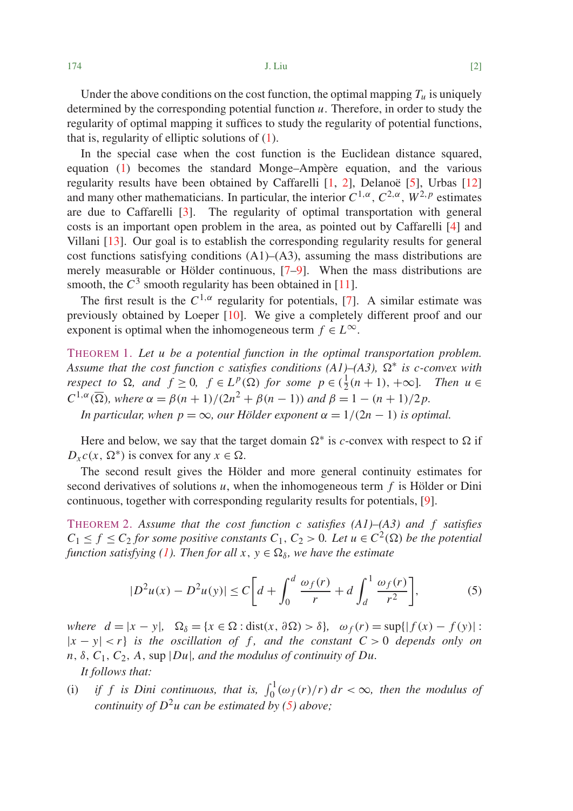Under the above conditions on the cost function, the optimal mapping  $T_u$  is uniquely determined by the corresponding potential function *u*. Therefore, in order to study the regularity of optimal mapping it suffices to study the regularity of potential functions, that is, regularity of elliptic solutions of (1).

In the special case when the cost function is the Euclidean distance squared, equation (1) becomes the standard Monge–Ampère equation, and the various regularity results have been obtained by Caffarelli [1, 2], Delanoë [5], Urbas [12] and many other mathematicians. In particular, the interior  $C^{1,\alpha}$ ,  $C^{2,\alpha}$ ,  $W^{2,p}$  estimates are due to Caffarelli [3]. The regularity of optimal transportation with general costs is an important open problem in the area, as pointed out by Caffarelli [4] and Villani [13]. Our goal is to establish the corresponding regularity results for general cost functions satisfying conditions  $(A1)$ – $(A3)$ , assuming the mass distributions are merely measurable or Hölder continuous, [7–9]. When the mass distributions are smooth, the  $C^3$  smooth regularity has been obtained in [11].

The first result is the  $C^{1,\alpha}$  regularity for potentials, [7]. A similar estimate was previously obtained by Loeper [10]. We give a completely different proof and our exponent is optimal when the inhomogeneous term  $f \in L^{\infty}$ .

THEOREM 1. *Let u be a potential function in the optimal transportation problem.* Assume that the cost function c satisfies conditions  $(A1)$ – $(A3)$ ,  $\Omega^*$  is c-convex with *respect to*  $\Omega$ *, and*  $f \geq 0$ *,*  $f \in L^p(\Omega)$  *for some*  $p \in (\frac{1}{2}(n+1), +\infty]$ *. Then*  $u \in$  $C^{1,\alpha}(\overline{\Omega})$ , where  $\alpha = \beta(n+1)/(2n^2 + \beta(n-1))$  and  $\beta = 1 - (n+1)/2p$ . *In particular, when*  $p = \infty$ *, our Hölder exponent*  $\alpha = 1/(2n - 1)$  *is optimal.* 

Here and below, we say that the target domain  $\Omega^*$  is *c*-convex with respect to  $\Omega$  if  $D_x c(x, \Omega^*)$  is convex for any  $x \in \Omega$ .

The second result gives the Hölder and more general continuity estimates for second derivatives of solutions *u*, when the inhomogeneous term *f* is Hölder or Dini continuous, together with corresponding regularity results for potentials, [9].

THEOREM 2. *Assume that the cost function c satisfies (A1)–(A3) and f satisfies*  $C_1 \leq f \leq C_2$  *for some positive constants*  $C_1$ ,  $C_2 > 0$ *. Let u*  $\in C^2(\Omega)$  *be the potential function satisfying (1). Then for all*  $x, y \in \Omega_{\delta}$ , we have the estimate

$$
|D^{2}u(x) - D^{2}u(y)| \le C\bigg[d + \int_{0}^{d} \frac{\omega_{f}(r)}{r} + d \int_{d}^{1} \frac{\omega_{f}(r)}{r^{2}}\bigg],
$$
 (5)

 $where d = |x - y|, \quad \Omega_{\delta} = \{x \in \Omega : \text{dist}(x, \partial \Omega) > \delta\}, \quad \omega_f(r) = \sup\{|f(x) - f(y)|:$  $|x - y| < r$  *is the oscillation of f, and the constant*  $C > 0$  *depends only on*  $n, \delta, C_1, C_2, A$ , sup  $|Du|$ , and the modulus of continuity of Du.

*It follows that:*

(i) if f is Dini continuous, that is,  $\int_0^1 (\omega_f(r)/r) dr < \infty$ , then the modulus of *continuity of*  $D^2u$  *can be estimated by (5) above;*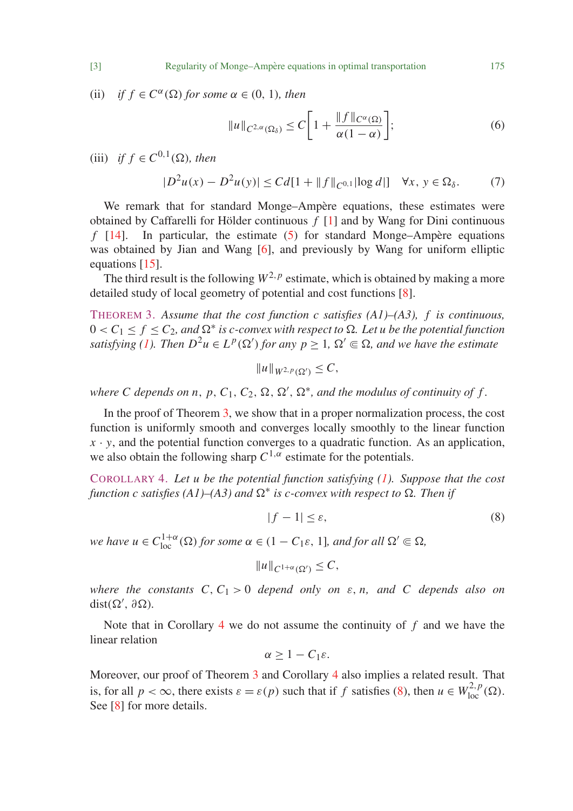(ii) *if*  $f \in C^{\alpha}(\Omega)$  *for some*  $\alpha \in (0, 1)$ *, then* 

$$
||u||_{C^{2,\alpha}(\Omega_{\delta})} \leq C \bigg[ 1 + \frac{||f||_{C^{\alpha}(\Omega)}}{\alpha(1-\alpha)} \bigg];
$$
\n<sup>(6)</sup>

(iii) *if*  $f \in C^{0,1}(\Omega)$ *, then* 

$$
|D^{2}u(x) - D^{2}u(y)| \leq C d[1 + ||f||_{C^{0,1}}|\log d|] \quad \forall x, y \in \Omega_{\delta}.
$$
 (7)

We remark that for standard Monge–Ampère equations, these estimates were obtained by Caffarelli for Hölder continuous  $f$  [1] and by Wang for Dini continuous  $f$  [14]. In particular, the estimate (5) for standard Monge-Ampère equations In particular, the estimate  $(5)$  for standard Monge–Ampère equations was obtained by Jian and Wang [6], and previously by Wang for uniform elliptic equations [15].

The third result is the following  $W^{2,p}$  estimate, which is obtained by making a more detailed study of local geometry of potential and cost functions [8].

THEOREM 3. *Assume that the cost function c satisfies (A1)–(A3), f is continuous,*  $0 < C_1 \leq f \leq C_2$ , and  $\Omega^*$  is c-convex with respect to  $\Omega$ . Let u be the potential function *satisfying (1). Then*  $D^2u \in L^p(\Omega')$  *for any*  $p \geq 1$ *,*  $\Omega' \subseteq \Omega$ *, and we have the estimate* 

$$
||u||_{W^{2,p}(\Omega')}\leq C,
$$

where C depends on  $n$ ,  $p$ ,  $C_1$ ,  $C_2$ ,  $\Omega$ ,  $\Omega'$ ,  $\Omega^*$ , and the modulus of continuity of  $f$ .

In the proof of Theorem 3, we show that in a proper normalization process, the cost function is uniformly smooth and converges locally smoothly to the linear function  $x \cdot y$ , and the potential function converges to a quadratic function. As an application, we also obtain the following sharp  $C^{1,\alpha}$  estimate for the potentials.

COROLLARY 4. *Let u be the potential function satisfying (1). Suppose that the cost*  $f$ unction  $c$  satisfies (A1)–(A3) and  $\Omega^*$  is  $c$ -convex with respect to  $\Omega$ . Then if

$$
|f - 1| \le \varepsilon,\tag{8}
$$

*we have*  $u \in C_{loc}^{1+\alpha}(\Omega)$  *for some*  $\alpha \in (1 - C_1 \varepsilon, 1]$ *, and for all*  $\Omega' \subseteq \Omega$ *,* 

$$
||u||_{C^{1+\alpha}(\Omega')} \leq C,
$$

*where the constants*  $C, C_1 > 0$  *depend only on*  $\varepsilon, n$ *, and*  $C$  *depends also on*  $dist(\Omega', \partial \Omega)$ .

Note that in Corollary 4 we do not assume the continuity of *f* and we have the linear relation

$$
\alpha\geq 1-C_1\varepsilon.
$$

Moreover, our proof of Theorem 3 and Corollary 4 also implies a related result. That is, for all  $p < \infty$ , there exists  $\varepsilon = \varepsilon(p)$  such that if *f* satisfies (8), then  $u \in W^{2,p}_{loc}(\Omega)$ . See [8] for more details.